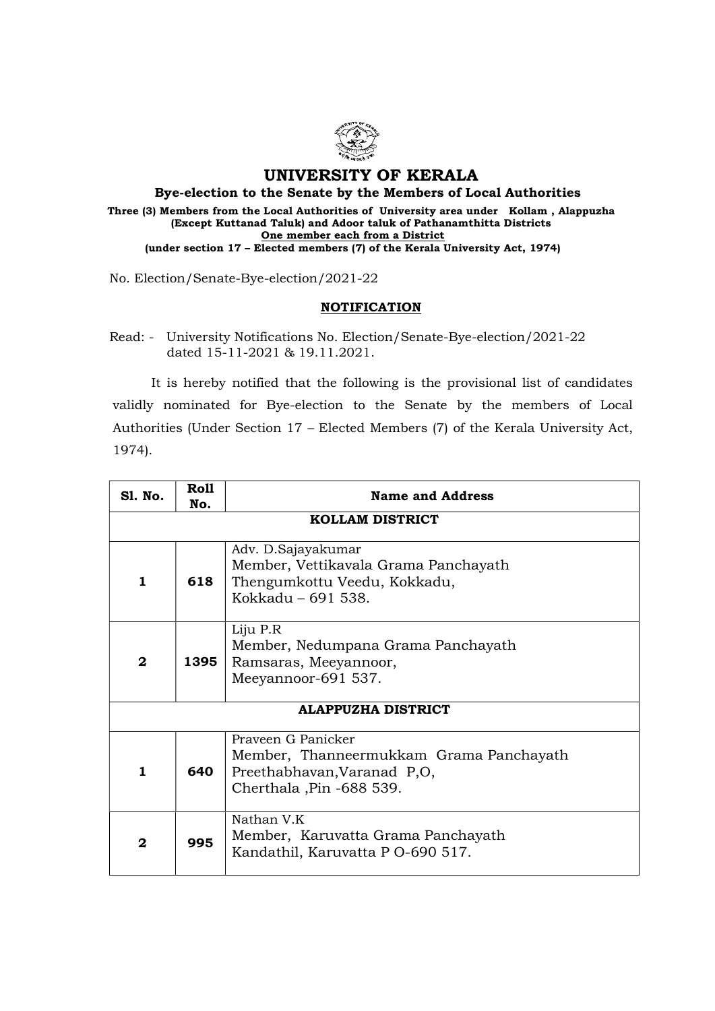

## UNIVERSITY OF KERALA

Bye-election to the Senate by the Members of Local Authorities Three (3) Members from the Local Authorities of University area under Kollam , Alappuzha (Except Kuttanad Taluk) and Adoor taluk of Pathanamthitta Districts One member each from a District (under section 17 – Elected members (7) of the Kerala University Act, 1974)

No. Election/Senate-Bye-election/2021-22

## **NOTIFICATION**

Read: - University Notifications No. Election/Senate-Bye-election/2021-22 dated 15-11-2021 & 19.11.2021.

 It is hereby notified that the following is the provisional list of candidates validly nominated for Bye-election to the Senate by the members of Local Authorities (Under Section 17 – Elected Members (7) of the Kerala University Act, 1974).

| <b>S1. No.</b>            | Roll<br>No. | <b>Name and Address</b>                                                                                                  |  |
|---------------------------|-------------|--------------------------------------------------------------------------------------------------------------------------|--|
| <b>KOLLAM DISTRICT</b>    |             |                                                                                                                          |  |
| 1                         | 618         | Adv. D. Sajayakumar<br>Member, Vettikavala Grama Panchayath<br>Thengumkottu Veedu, Kokkadu,<br>Kokkadu - 691 538.        |  |
| $\mathbf{2}$              | 1395        | Liju P.R<br>Member, Nedumpana Grama Panchayath<br>Ramsaras, Meeyannoor,<br>Meeyannoor-691 537.                           |  |
| <b>ALAPPUZHA DISTRICT</b> |             |                                                                                                                          |  |
| 1                         | 640         | Prayeen G Panicker<br>Member, Thanneermukkam Grama Panchayath<br>Preethabhavan, Varanad P,O,<br>Cherthala, Pin -688 539. |  |
| $\mathbf{2}$              | 995         | Nathan V.K<br>Member, Karuvatta Grama Panchayath<br>Kandathil, Karuvatta P O-690 517.                                    |  |